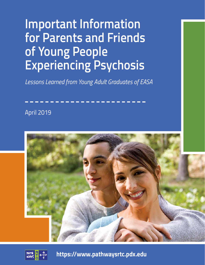# **Important Information for Parents and Friends of Young People Experiencing Psychosis**

*Lessons Learned from Young Adult Graduates of EASA*

April 2019





**https://www.pathwaysrtc.pdx.edu**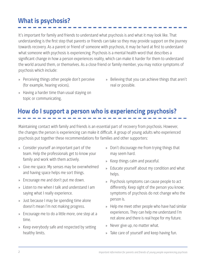## **What is psychosis?**

It's important for family and friends to understand what psychosis is and what it may look like. That understanding is the first step that parents or friends can take so they may provide support on the journey towards recovery. As a parent or friend of someone with psychosis, it may be hard at first to understand what someone with psychosis is experiencing. Psychosis is a mental health word that describes a significant change in how a person experiences reality, which can make it harder for them to understand the world around them, or themselves. As a close friend or family member, you may notice symptoms of psychosis which include:

- » Perceiving things other people don't perceive (for example, hearing voices),
- » Believing that you can achieve things that aren't real or possible.
- » Having a harder time than usual staying on topic or communicating,

## **How do I support a person who is experiencing psychosis?**

Maintaining contact with family and friends is an essential part of recovery from psychosis. However, the changes the person is experiencing can make it difficult. A group of young adults who experienced psychosis put together these recommendations for families and other supporters:

- » Consider yourself an important part of the team. Help the professionals get to know your family and work with them actively.
- » Give me space. My senses may be overwhelmed and having space helps me sort things.
- » Encourage me and don't put me down.
- » Listen to me when I talk and understand I am saying what I really experience.
- » Just because I may be spending time alone doesn't mean I'm not making progress.
- » Encourage me to do a little more, one step at a time.
- » Keep everybody safe and respected by setting healthy limits.
- » Don't discourage me from trying things that may seem hard.
- » Keep things calm and peaceful.
- » Educate yourself about my condition and what helps.
- » Psychosis symptoms can cause people to act differently. Keep sight of the person you know; symptoms of psychosis do not change who the person is.
- » Help me meet other people who have had similar experiences. They can help me understand I'm not alone and there is real hope for my future.
- » Never give up, no matter what.
- » Take care of yourself and keep having fun.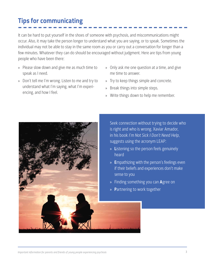## **Tips for communicating**

It can be hard to put yourself in the shoes of someone with psychosis, and miscommunications might occur. Also, it may take the person longer to understand what you are saying, or to speak. Sometimes the individual may not be able to stay in the same room as you or carry out a conversation for longer than a few minutes. Whatever they can do should be encouraged without judgment. Here are tips from young people who have been there:

- » Please slow down and give me as much time to speak as I need.
- » Don't tell me I'm wrong. Listen to me and try to understand what I'm saying, what I'm experiencing, and how I feel.
- » Only ask me one question at a time, and give me time to answer.
- » Try to keep things simple and concrete.
- » Break things into simple steps.
- » Write things down to help me remember.



Seek connection without trying to decide who is right and who is wrong. Xaviar Amador, in his book *I'm Not Sick I Don't Need Help*, suggests using the acronym LEAP:

- » **L**istening so the person feels genuinely heard
- » **E**mpathizing with the person's feelings even if their beliefs and experiences don't make sense to you
- » Finding something you can **A**gree on
- » **P**artnering to work together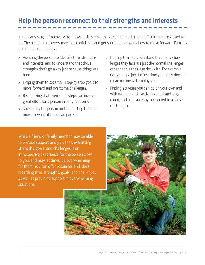## **Help the person reconnect to their strengths and interests**

In the early stage of recovery from psychosis, simple things can be much more difficult than they used to be. The person in recovery may lose confidence and get stuck, not knowing how to move forward. Families and friends can help by:

- » Assisting the person to identify their strengths and interests, and to understand that those strengths don't go away just because things are hard.
- » Helping them to set small, step-by step goals to move forward and overcome challenges.
- » Recognizing that even small steps can involve great effort for a person in early recovery.
- » Sticking by the person and supporting them to move forward at their own pace.
- » Helping them to understand that many challenges they face are just the normal challenges other people their age deal with. For example, not getting a job the first time you apply doesn't mean no one will employ you.
- » Finding activities you can do on your own and with each other. All activities small and large count, and help you stay connected to a sense of strength.

While a friend or family member may be able to provide support and guidance, evaluating strengths, goals, and challenges is an introspective experience for the person close to you, and may, at times, be overwhelming for them. You can offer resources and ideas regarding their strengths, goals, and challenges, as well as providing support in overwhelming situations.

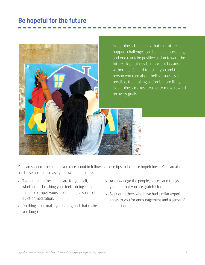### **Be hopeful for the future**



You can support the person you care about in following these tips to increase hopefulness. You can also use these tips to increase your own hopefulness:

- » Take time to refresh and care for yourself, whether it's brushing your teeth, doing something to pamper yourself, or finding a space of quiet or meditation.
- » Do things that make you happy, and that make you laugh.
- » Acknowledge the people, places, and things in your life that you are grateful for.
- » Seek out others who have had similar experiences to you for encouragement and a sense of connection.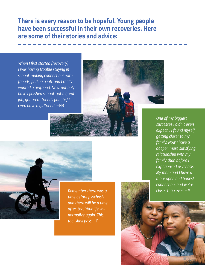**There is every reason to be hopeful. Young people have been successful in their own recoveries. Here are some of their stories and advice:**

*When I first started [recovery] I was having trouble staying in school, making connections with friends, finding a job, and I really wanted a girlfriend. Now, not only have I finished school, got a great job, got great friends [laughs] I even have a girlfriend.* —NB





*Remember there was a time before psychosis and there will be a time after, too. Your life will normalize again. This, too, shall pass.* —P

*One of my biggest successes I didn't even expect… I found myself getting closer to my family. Now I have a deeper, more satisfying relationship with my family than before I experienced psychosis. My mom and I have a more open and honest connection, and we're closer than ever.* —M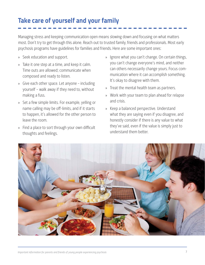## **Take care of yourself and your family**

Managing stress and keeping communication open means slowing down and focusing on what matters most. Don't try to get through this alone. Reach out to trusted family, friends and professionals. Most early psychosis programs have guidelines for families and friends. Here are some important ones:

- » Seek education and support.
- » Take it one step at a time, and keep it calm. Time outs are allowed; communicate when composed and ready to listen.
- » Give each other space. Let anyone including yourself – walk away if they need to, without making a fuss.
- » Set a few simple limits. For example, yelling or name calling may be off-limits, and if it starts to happen, it's allowed for the other person to leave the room.
- » Find a place to sort through your own difficult thoughts and feelings.
- » Ignore what you can't change. On certain things, you can't change everyone's mind, and neither can others necessarily change yours. Focus communication where it can accomplish something. It's okay to disagree with them.
- » Treat the mental health team as partners.
- » Work with your team to plan ahead for relapse and crisis.
- » Keep a balanced perspective. Understand what they are saying even if you disagree, and honestly consider if there is any value to what they've said, even if the value is simply just to understand them better.